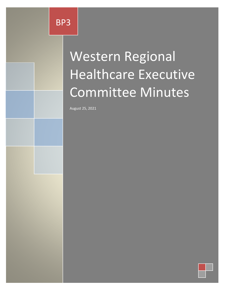# Western Regional Healthcare Executive Committee Minutes

August 25, 2021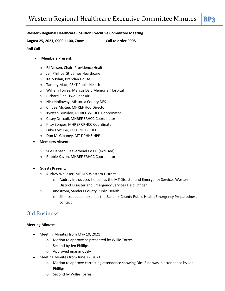#### **Western Regional Healthcare Coalition Executive Committee Meeting**

**August 25, 2021, 0900-1100, Zoom Call to order 0908**

#### **Roll Call**

#### **Members Present:**

- o RJ Nelsen, Chair, Providence Health
- o Jen Phillips, St. James Healthcare
- o Kelly Bilau, Brendan House
- o Tammy Matt, CSKT Public Health
- o William Torres, Marcus Daly Memorial Hospital
- o Richard Sine, Two Bear Air
- o Nick Holloway, Missoula County DES
- o Cindee McKee, MHREF HCC Director
- o Kyrsten Brinkley, MHREF WRHCC Coordinator
- o Casey Driscoll, MHREF SRHCC Coordinator
- o Kitty Songer, MHREF CRHCC Coordinator
- o Luke Fortune, MT DPHHS PHEP
- o Don McGiboney, MT DPHHS HPP
- **Members Absent:**
	- o Sue Hansen, Beaverhead Co PH (excused)
	- o Robbie Kavon, MHREF ERHCC Coordinator
- **Guests Present:**
	- o Audrey Walleser, MT DES Western District
		- o Audrey introduced herself as the MT Disaster and Emergency Services Western District Disaster and Emergency Services Field Officer
	- o Jill Lundstrom, Sanders County Public Health
		- $\circ$  Jill introduced herself as the Sanders County Public Health Emergency Preparedness contact

## Old Business

#### **Meeting Minutes:**

- Meeting Minutes from May 10, 2021
	- o Motion to approve as presented by Willie Torres
	- o Second by Jen Phillips
	- o Approved unanimously
- Meeting Minutes from June 22, 2021
	- o Motion to approve correcting attendance showing Dick Sine was in attendance by Jen Phillips
	- o Second by Willie Torres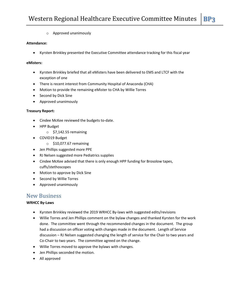o Approved unanimously

#### **Attendance:**

Kyrsten Brinkley presented the Executive Committee attendance tracking for this fiscal year

#### **eMisters:**

- Kyrsten Brinkley briefed that all eMisters have been delivered to EMS and LTCF with the exception of one
- There is recent interest from Community Hospital of Anaconda (CHA)
- Motion to provide the remaining eMister to CHA by Willie Torres
- Second by Dick Sine
- Approved unanimously

#### **Treasury Report:**

- Cindee McKee reviewed the budgets to-date.
- HPP Budget
	- $\circ$  \$7,142.55 remaining
- COVID19 Budget
	- o \$10,077.67 remaining
- Jen Phillips suggested more PPE
- RJ Nelsen suggested more Pediatrics supplies
- Cindee McKee advised that there is only enough HPP funding for Brosolow tapes, cuffs/stethoscopes
- Motion to approve by Dick Sine
- Second by Willie Torres
- Approved unanimously

### New Business

#### **WRHCC By-Laws**

- Kyrsten Brinkley reviewed the 2019 WRHCC By-laws with suggested edits/revisions
- Willie Torres and Jen Phillips comment on the bylaw changes and thanked Kyrsten for the work done. The committee went through the recommended changes in the document. The group had a discussion on officer voting with changes made in the document. Length of Service discussion – RJ Nelsen suggested changing the length of service for the Chair to two years and Co-Chair to two years. The committee agreed on the change.
- Willie Torres moved to approve the bylaws with changes.
- Jen Phillips seconded the motion.
- All approved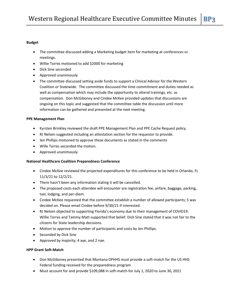#### **Budget**

- The committee discussed adding a Marketing budget item for marketing at conferences or meetings.
- Willie Torres motioned to add \$2000 for marketing
- Dick Sine seconded
- Approved unanimously
- The committee discussed setting aside funds to support a Clinical Advisor for the Western Coalition or Statewide. The committee discussed the time commitment and duties needed as well as compensation which may include the opportunity to attend trainings, etc. as compensation. Don McGiboney and Cindee McKee provided updates that discussions are ongoing on this topic and suggested that the committee table the discussion until more information can be gathered and presented at the next meeting.

#### **PPE Management Plan**

- Kyrsten Brinkley reviewed the draft PPE Management Plan and PPE Cache Request policy.
- RJ Nelsen suggested including an attestation section for the requestor to provide.
- Jen Phillips motioned to approve these documents as stated in the comments
- Wille Torres seconded the motion.
- Approved unanimously

#### **National Healthcare Coalition Preparedness Conference**

- Cindee McKee reviewed the projected expenditures for this conference to be held in Orlando, FL 11/3/21 to 12/2/21.
- There hasn't been any information stating it will be cancelled.
- The proposed costs each attendee will encounter are registration fee, airfare, baggage, parking, taxi, lodging, and per-diem.
- Cindee McKee requested that the committee establish a number of allowed participants; 5 was decided on. Please email Cindee before 9/30/21 if interested.
- RJ Nelsen objected to supporting Florida's economy due to their management of COVID19. Willie Torres and Tammy Matt supported that belief. Dick Sine stated that it was not fair to the citizens for State leadership decisions.
- Motion to approve the number of participants and costs by Jen Phillips.
- Seconded by Dick Sine
- Approved by majority; 4 aye, and 2 nae.

#### **HPP Grant Soft-Match**

- Don McGiboney presented that Montana DPHHS must provide a soft-match for the US HHS Federal funding received for the preparedness program
- Must account for and provide \$109,088 in soft-match for July 1, 2020 to June 30, 2021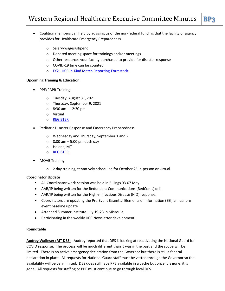- Coalition members can help by advising us of the non-federal funding that the facility or agency provides for Healthcare Emergency Preparedness
	- o Salary/wages/stipend
	- o Donated meeting space for trainings and/or meetings
	- o Other resources your facility purchased to provide for disaster response
	- o COVID-19 time can be counted
	- o [FY21 HCC In-Kind Match Reporting-Formstack](https://phep.formstack.com/forms/hcc_donation_reporting_copy_copy_1)

#### **Upcoming Training & Education**

- PPE/PAPR Training
	- o Tuesday, August 31, 2021
	- o Thursday, September 9, 2021
	- $\circ$  8:30 am 12:30 pm
	- o Virtual
	- o [REGISTER](https://phep.formstack.com/forms/ppe_training_registration)
- Pediatric Disaster Response and Emergency Preparedness
	- o Wednesday and Thursday, September 1 and 2
	- $\circ$  8:00 am 5:00 pm each day
	- o Helena, MT
	- o [REGISTER](https://my.teex.org/teexportal/default.aspx?mo=mcoursecatalog&d=FP&C=MRG439&S=369)
- MOAB Training
	- o 2 day training, tentatively scheduled for October 25 in-person or virtual

#### **Coordinator Update**

- All-Coordinator work-session was held in Billings 03-07 May.
- AAR/IP being written for the Redundant Communications (RedComs) drill.
- AAR/IP being written for the Highly-Infectious Disease (HID) response.
- Coordinators are updating the Pre-Event Essential Elements of Information (EEI) annual preevent baseline update
- Attended Summer Institute July 19-23 in Missoula.
- Participating in the weekly HCC Newsletter development.

#### **Roundtable**

**Audrey Walleser (MT DES)** - Audrey reported that DES is looking at reactivating the National Guard for COVID response. The process will be much different than it was in the past and the scope will be limited. There is no active emergency declaration from the Governor but there is still a federal declaration in place. All requests for National Guard staff must be vetted through the Governor so the availability will be very limited. DES does still have PPE available in a cache but once it is gone, it is gone. All requests for staffing or PPE must continue to go through local DES.